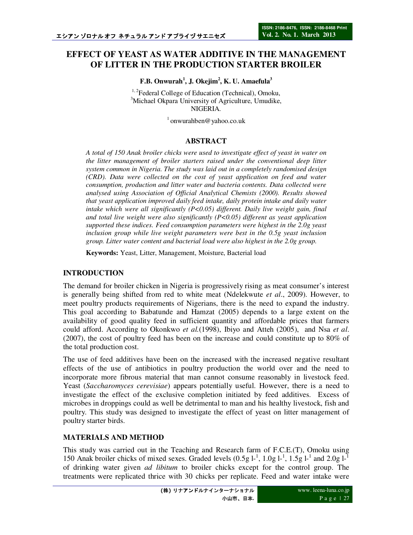# **EFFECT OF YEAST AS WATER ADDITIVE IN THE MANAGEMENT OF LITTER IN THE PRODUCTION STARTER BROILER**

**F.B. Onwurah<sup>1</sup> , J. Okejim<sup>2</sup> , K. U. Amaefula<sup>3</sup>**

<sup>1, 2</sup>Federal College of Education (Technical), Omoku, <sup>3</sup>Michael Okpara University of Agriculture, Umudike, NIGERIA.

 $1$ onwurahben@yahoo.co.uk

### **ABSTRACT**

*A total of 150 Anak broiler chicks were used to investigate effect of yeast in water on the litter management of broiler starters raised under the conventional deep litter system common in Nigeria. The study was laid out in a completely randomised design (CRD). Data were collected on the cost of yeast application on feed and water consumption, production and litter water and bacteria contents. Data collected were analysed using Association of Official Analytical Chemists (2000). Results showed that yeast application improved daily feed intake, daily protein intake and daily water intake which were all significantly (P<0.05) different. Daily live weight gain, final and total live weight were also significantly (P<0.05) different as yeast application supported these indices. Feed consumption parameters were highest in the 2.0g yeast inclusion group while live weight parameters were best in the 0.5g yeast inclusion group. Litter water content and bacterial load were also highest in the 2.0g group.* 

**Keywords:** Yeast, Litter, Management, Moisture, Bacterial load

## **INTRODUCTION**

The demand for broiler chicken in Nigeria is progressively rising as meat consumer's interest is generally being shifted from red to white meat (Ndelekwute *et al*., 2009). However, to meet poultry products requirements of Nigerians, there is the need to expand the industry. This goal according to Babatunde and Hamzat (2005) depends to a large extent on the availability of good quality feed in sufficient quantity and affordable prices that farmers could afford. According to Okonkwo *et al.*(1998), Ibiyo and Atteh (2005), and Nsa *et al*. (2007), the cost of poultry feed has been on the increase and could constitute up to 80% of the total production cost.

The use of feed additives have been on the increased with the increased negative resultant effects of the use of antibiotics in poultry production the world over and the need to incorporate more fibrous material that man cannot consume reasonably in livestock feed. Yeast (*Saccharomyces cerevisiae*) appears potentially useful. However, there is a need to investigate the effect of the exclusive completion initiated by feed additives. Excess of microbes in droppings could as well be detrimental to man and his healthy livestock, fish and poultry. This study was designed to investigate the effect of yeast on litter management of poultry starter birds.

## **MATERIALS AND METHOD**

This study was carried out in the Teaching and Research farm of F.C.E.(T), Omoku using 150 Anak broiler chicks of mixed sexes. Graded levels  $(0.5g 1<sup>-1</sup>, 1.0g 1<sup>-1</sup>, 1.5g 1<sup>-1</sup>$  and  $2.0g 1<sup>-1</sup>$ of drinking water given *ad libitum* to broiler chicks except for the control group. The treatments were replicated thrice with 30 chicks per replicate. Feed and water intake were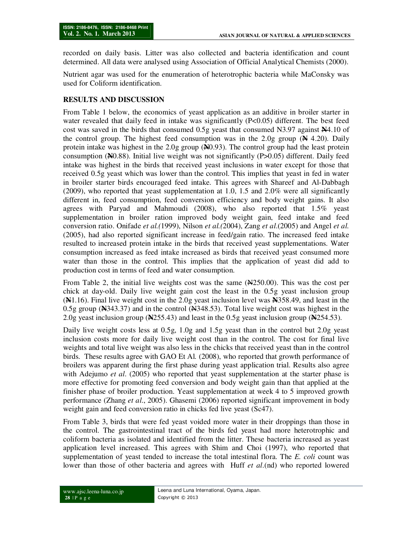recorded on daily basis. Litter was also collected and bacteria identification and count determined. All data were analysed using Association of Official Analytical Chemists (2000).

Nutrient agar was used for the enumeration of heterotrophic bacteria while MaConsky was used for Coliform identification.

## **RESULTS AND DISCUSSION**

From Table 1 below, the economics of yeast application as an additive in broiler starter in water revealed that daily feed in intake was significantly (P<0.05) different. The best feed cost was saved in the birds that consumed 0.5g yeast that consumed N3.97 against **N**4.10 of the control group. The highest feed consumption was in the 2.0g group (**N** 4.20). Daily protein intake was highest in the 2.0g group (**N**0.93). The control group had the least protein consumption (**N**0.88). Initial live weight was not significantly (P>0.05) different. Daily feed intake was highest in the birds that received yeast inclusions in water except for those that received 0.5g yeast which was lower than the control. This implies that yeast in fed in water in broiler starter birds encouraged feed intake. This agrees with Shareef and Al-Dabbagh (2009), who reported that yeast supplementation at 1.0, 1.5 and 2.0% were all significantly different in, feed consumption, feed conversion efficiency and body weight gains. It also agrees with Paryad and Mahmoudi (2008), who also reported that 1.5% yeast supplementation in broiler ration improved body weight gain, feed intake and feed conversion ratio. Onifade *et al.(*1999), Nilson *et al.(*2004), Zang *et al*.(2005) and Angel *et al.* (2005), had also reported significant increase in feed/gain ratio. The increased feed intake resulted to increased protein intake in the birds that received yeast supplementations. Water consumption increased as feed intake increased as birds that received yeast consumed more water than those in the control. This implies that the application of yeast did add to production cost in terms of feed and water consumption.

From Table 2, the initial live weights cost was the same (N250.00). This was the cost per chick at day-old. Daily live weight gain cost the least in the 0.5g yeast inclusion group (**N**1.16). Final live weight cost in the 2.0g yeast inclusion level was **N**358.49, and least in the 0.5g group (**N**343.37) and in the control (N348.53). Total live weight cost was highest in the 2.0g yeast inclusion group (**N**255.43) and least in the 0.5g yeast inclusion group (**N**254.53).

Daily live weight costs less at 0.5g, 1.0g and 1.5g yeast than in the control but 2.0g yeast inclusion costs more for daily live weight cost than in the control. The cost for final live weights and total live weight was also less in the chicks that received yeast than in the control birds. These results agree with GAO Et Al*.* (2008), who reported that growth performance of broilers was apparent during the first phase during yeast application trial. Results also agree with Adejumo *et al*. (2005) who reported that yeast supplementation at the starter phase is more effective for promoting feed conversion and body weight gain than that applied at the finisher phase of broiler production. Yeast supplementation at week 4 to 5 improved growth performance (Zhang *et al*., 2005). Ghasemi (2006) reported significant improvement in body weight gain and feed conversion ratio in chicks fed live yeast (Sc47).

From Table 3, birds that were fed yeast voided more water in their droppings than those in the control. The gastrointestinal tract of the birds fed yeast had more heterotrophic and coliform bacteria as isolated and identified from the litter. These bacteria increased as yeast application level increased. This agrees with Shim and Choi (1997), who reported that supplementation of yeast tended to increase the total intestinal flora. The *E. coli* count was lower than those of other bacteria and agrees with Huff *et al*.(nd) who reported lowered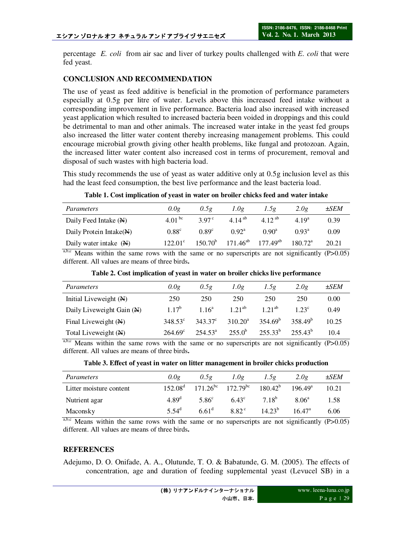percentage *E. coli* from air sac and liver of turkey poults challenged with *E. coli* that were fed yeast.

### **CONCLUSION AND RECOMMENDATION**

The use of yeast as feed additive is beneficial in the promotion of performance parameters especially at 0.5g per litre of water. Levels above this increased feed intake without a corresponding improvement in live performance. Bacteria load also increased with increased yeast application which resulted to increased bacteria been voided in droppings and this could be detrimental to man and other animals. The increased water intake in the yeast fed groups also increased the litter water content thereby increasing management problems. This could encourage microbial growth giving other health problems, like fungal and protozoan. Again, the increased litter water content also increased cost in terms of procurement, removal and disposal of such wastes with high bacteria load.

This study recommends the use of yeast as water additive only at 0.5g inclusion level as this had the least feed consumption, the best live performance and the least bacteria load.

|  |  |  |  | Table 1. Cost implication of yeast in water on broiler chicks feed and water intake |
|--|--|--|--|-------------------------------------------------------------------------------------|
|  |  |  |  |                                                                                     |

| Parameters                          | 0.0g             | 0.5g           | 1.0g               | 1.5g          | 2.0g                | $\pm$ SEM |
|-------------------------------------|------------------|----------------|--------------------|---------------|---------------------|-----------|
| Daily Feed Intake (N)               | 4.01 bc          | 3.97 $\degree$ | 4 14 <sup>ab</sup> | 4 12 ab       | 4.19 <sup>a</sup>   | 0.39      |
| Daily Protein Intake $(\mathbb{N})$ | $0.88^\circ$     | $0.89^{\circ}$ | $0.92^{\rm a}$     | $0.90^a$      | 0.93 <sup>a</sup>   | 0.09      |
| Daily water intake $(\mathbb{N})$   | $122.01^{\circ}$ | $150.70^{b}$   | $171.46^{ab}$      | $177.49^{ab}$ | $180.72^{\text{a}}$ | 20.21     |

 $a,b,c$  Means within the same rows with the same or no superscripts are not significantly (P>0.05) different. All values are means of three birds**.** 

| Parameters                        | 0.0g             | 0.5g              | 1.0g             | 1.5g         | 2.0g              | $\pm$ SEM |
|-----------------------------------|------------------|-------------------|------------------|--------------|-------------------|-----------|
| Initial Liveweight $(\mathbb{N})$ | 250              | 250               | 250              | 250          | 250               | 0.00      |
| Daily Liveweight Gain (N)         | $1.17^{b}$       | 1.16 <sup>a</sup> | $1.21^{ab}$      | $1.21^{ab}$  | 1.23 <sup>c</sup> | 0.49      |
| Final Liveweight $(\mathbb{N})$   | $348.53^{\circ}$ | $343.37^{\circ}$  | $310.20^{\rm a}$ | $354.69^b$   | $358.49^{b}$      | 10.25     |
| Total Liveweight (N)              | $264.69^{\circ}$ | $254.53^{\circ}$  | $255.0^b$        | $255.33^{b}$ | $255.43^{b}$      | 10.4      |

**Table 2. Cost implication of yeast in water on broiler chicks live performance** 

Means within the same rows with the same or no superscripts are not significantly  $(P>0.05)$ different. All values are means of three birds**.** 

|  |  | Table 3. Effect of yeast in water on litter management in broiler chicks production |  |  |
|--|--|-------------------------------------------------------------------------------------|--|--|
|  |  |                                                                                     |  |  |

| Parameters              | 0.0g              | 0.5g                                                                                                  | 1.0g           | 1.5g        | 2.0g            | $\pm$ SEM |
|-------------------------|-------------------|-------------------------------------------------------------------------------------------------------|----------------|-------------|-----------------|-----------|
| Litter moisture content |                   | $152.08^{\text{d}}$ $171.26^{\text{bc}}$ $172.79^{\text{bc}}$ $180.42^{\text{b}}$ $196.49^{\text{a}}$ |                |             |                 | 10.21     |
| Nutrient agar           | 4.89 <sup>d</sup> | 5.86 <sup>c</sup>                                                                                     | $6.43^{\circ}$ | $7.18^{b}$  | $8.06^{\rm a}$  | 1.58      |
| Maconsky                | 5.54 $^{d}$       | $6.61^{\rm d}$                                                                                        | $8.82^\circ$   | $14.23^{b}$ | $16.47^{\rm a}$ | 6.06      |

 $a,b,c$  Means within the same rows with the same or no superscripts are not significantly (P $>0.05$ ) different. All values are means of three birds**.** 

#### **REFERENCES**

Adejumo, D. O. Onifade, A. A., Olutunde, T. O. & Babatunde, G. M. (2005). The effects of concentration, age and duration of feeding supplemental yeast (Levucel SB) in a